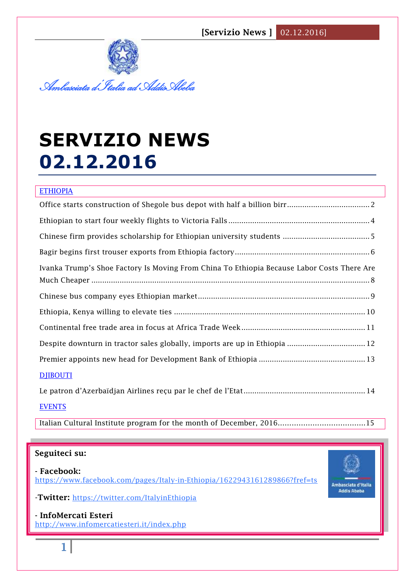**[Servizio News ]** 02.12.2016]



# **SERVIZIO NEWS 02.12.2016**

| <b>ETHIOPIA</b>                                                                            |
|--------------------------------------------------------------------------------------------|
|                                                                                            |
|                                                                                            |
|                                                                                            |
|                                                                                            |
| Ivanka Trump's Shoe Factory Is Moving From China To Ethiopia Because Labor Costs There Are |
|                                                                                            |
|                                                                                            |
|                                                                                            |
|                                                                                            |
| Despite downturn in tractor sales globally, imports are up in Ethiopia  12                 |
|                                                                                            |
| <b>DJIBOUTI</b>                                                                            |
|                                                                                            |

**EVENTS** 

Italian Cultural Institute program for the month of December, 2016………………………………..15

## **Seguiteci su:**

**- Facebook:** <https://www.facebook.com/pages/Italy-in-Ethiopia/1622943161289866?fref=ts>



-**Twitter:** <https://twitter.com/ItalyinEthiopia>

**- InfoMercati Esteri**  <http://www.infomercatiesteri.it/index.php>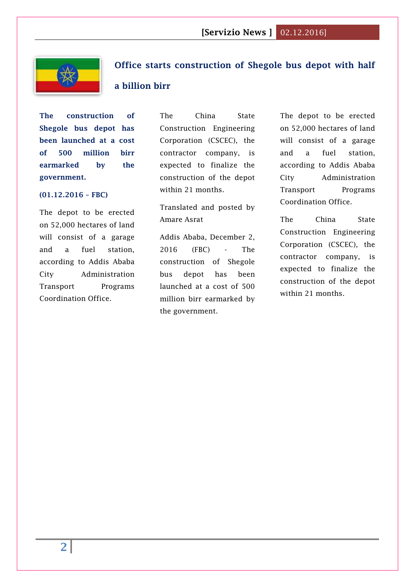

## <span id="page-1-0"></span>**Office starts construction of Shegole bus depot with half**

## **a billion birr**

**The construction of Shegole bus depot has been launched at a cost of 500 million birr earmarked by the government.**

#### **(01.12.2016 – FBC)**

The depot to be erected on 52,000 hectares of land will consist of a garage and a fuel station, according to Addis Ababa City Administration Transport Programs Coordination Office.

The China State Construction Engineering Corporation (CSCEC), the contractor company, is expected to finalize the construction of the depot within 21 months.

Translated and posted by Amare Asrat

Addis Ababa, December 2, 2016 (FBC) - The construction of Shegole bus depot has been launched at a cost of 500 million birr earmarked by the government.

The depot to be erected on 52,000 hectares of land will consist of a garage and a fuel station, according to Addis Ababa City Administration Transport Programs Coordination Office.

The China State Construction Engineering Corporation (CSCEC), the contractor company, is expected to finalize the construction of the depot within 21 months.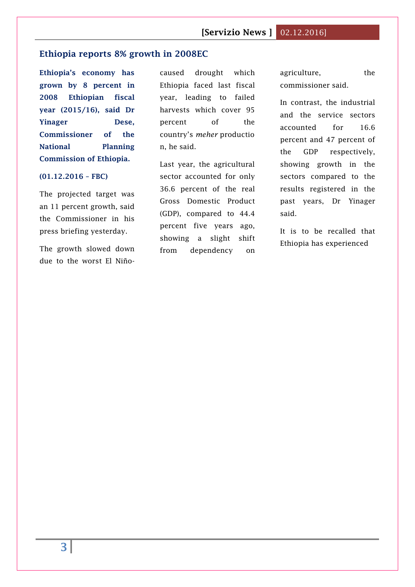#### **Ethiopia reports 8% growth in 2008EC**

**Ethiopia's economy has grown by 8 percent in 2008 Ethiopian fiscal year (2015/16), said Dr Yinager Dese, Commissioner of the National Planning Commission of Ethiopia.**

#### **(01.12.2016 – FBC)**

The projected target was an 11 percent growth, said the Commissioner in his press briefing yesterday.

The growth slowed down due to the worst El Niñocaused drought which Ethiopia faced last fiscal year, leading to failed harvests which cover 95 percent of the country's *meher* productio n, he said.

Last year, the agricultural sector accounted for only 36.6 percent of the real Gross Domestic Product (GDP), compared to 44.4 percent five years ago, showing a slight shift from dependency on

agriculture, the commissioner said.

In contrast, the industrial and the service sectors accounted for 16.6 percent and 47 percent of the GDP respectively, showing growth in the sectors compared to the results registered in the past years, Dr Yinager said.

It is to be recalled that Ethiopia has experienced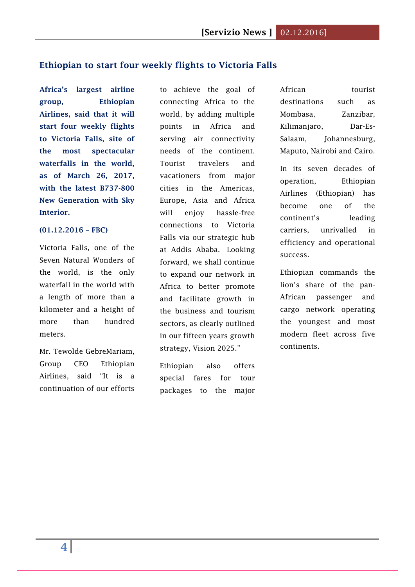### <span id="page-3-0"></span>**Ethiopian to start four weekly flights to Victoria Falls**

**Africa's largest airline group, Ethiopian Airlines, said that it will start four weekly flights to Victoria Falls, site of the most spectacular waterfalls in the world, as of March 26, 2017, with the latest B737-800 New Generation with Sky Interior.**

#### **(01.12.2016 – FBC)**

Victoria Falls, one of the Seven Natural Wonders of the world, is the only waterfall in the world with a length of more than a kilometer and a height of more than hundred meters.

Mr. Tewolde GebreMariam, Group CEO Ethiopian Airlines, said "It is a continuation of our efforts

to achieve the goal of connecting Africa to the world, by adding multiple points in Africa and serving air connectivity needs of the continent. Tourist travelers and vacationers from major cities in the Americas, Europe, Asia and Africa will enjoy hassle-free connections to Victoria Falls via our strategic hub at Addis Ababa. Looking forward, we shall continue to expand our network in Africa to better promote and facilitate growth in the business and tourism sectors, as clearly outlined in our fifteen years growth strategy, Vision 2025."

Ethiopian also offers special fares for tour packages to the major African tourist destinations such as Mombasa, Zanzibar, Kilimanjaro, Dar-Es-Salaam, Johannesburg, Maputo, Nairobi and Cairo.

In its seven decades of operation, Ethiopian Airlines (Ethiopian) has become one of the continent's leading carriers, unrivalled in efficiency and operational success.

Ethiopian commands the lion's share of the pan-African passenger and cargo network operating the youngest and most modern fleet across five continents.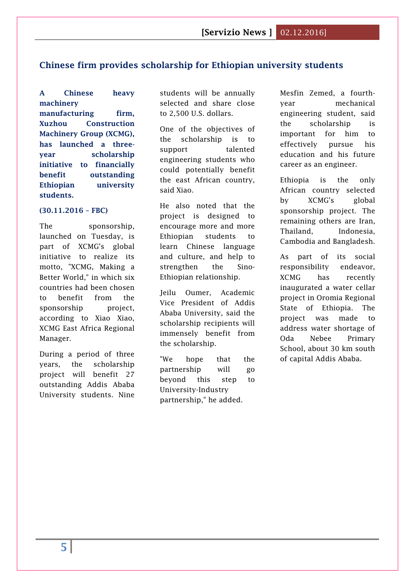## <span id="page-4-0"></span>**Chinese firm provides scholarship for Ethiopian university students**

**A Chinese heavy machinery manufacturing firm, Xuzhou Construction Machinery Group (XCMG), has launched a threeyear scholarship initiative to financially benefit outstanding Ethiopian university students.**

#### **(30.11.2016 – FBC)**

The sponsorship, launched on Tuesday, is part of XCMG's global initiative to realize its motto, "XCMG, Making a Better World," in which six countries had been chosen to benefit from the sponsorship project, according to Xiao Xiao, XCMG East Africa Regional Manager.

During a period of three years, the scholarship project will benefit 27 outstanding Addis Ababa University students. Nine students will be annually selected and share close to 2,500 U.S. dollars.

One of the objectives of the scholarship is to support talented engineering students who could potentially benefit the east African country, said Xiao.

He also noted that the project is designed to encourage more and more Ethiopian students to learn Chinese language and culture, and help to strengthen the Sino-Ethiopian relationship.

Jeilu Oumer, Academic Vice President of Addis Ababa University, said the scholarship recipients will immensely benefit from the scholarship.

"We hope that the partnership will go beyond this step to University-Industry partnership," he added.

Mesfin Zemed, a fourthyear mechanical engineering student, said the scholarship is important for him to effectively pursue his education and his future career as an engineer.

Ethiopia is the only African country selected by XCMG's global sponsorship project. The remaining others are Iran, Thailand, Indonesia, Cambodia and Bangladesh.

As part of its social responsibility endeavor, XCMG has recently inaugurated a water cellar project in Oromia Regional State of Ethiopia. The project was made to address water shortage of Oda Nebee Primary School, about 30 km south of capital Addis Ababa.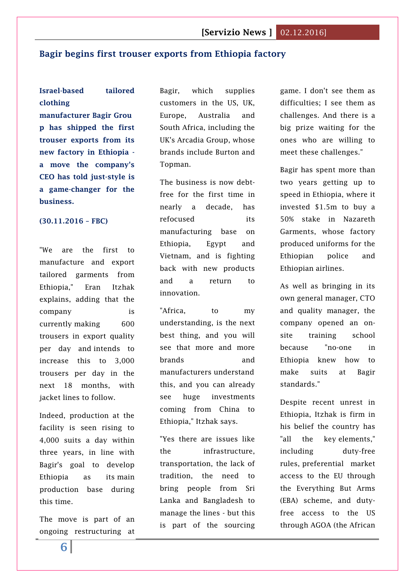### <span id="page-5-0"></span>**Bagir begins first trouser exports from Ethiopia factory**

## **Israel-based tailored clothing**

**manufacturer Bagir Grou p has shipped the first trouser exports from its new factory in Ethiopia a move the company's CEO has told just-style is a game-changer for the business.**

#### **(30.11.2016 – FBC)**

"We are the first to manufacture and export tailored garments from Ethiopia," Eran Itzhak explains, adding that the company is currently making 600 trousers in export quality per day and intends to increase this to 3,000 trousers per day in the next 18 months, with jacket lines to follow.

Indeed, production at the facility is seen rising to 4,000 suits a day within three years, in line with Bagir's goal to develop Ethiopia as its main production base during this time.

The move is part of an ongoing restructuring at

Bagir, which supplies customers in the US, UK, Europe, Australia and South Africa, including the UK's Arcadia Group, whose brands include Burton and Topman.

The business is now debtfree for the first time in nearly a decade, has refocused its manufacturing base on Ethiopia, Egypt and Vietnam, and is fighting back with new products and a return to innovation.

"Africa, to my understanding, is the next best thing, and you will see that more and more brands and manufacturers understand this, and you can already see huge investments coming from China to Ethiopia," Itzhak says.

"Yes there are issues like the infrastructure, transportation, the lack of tradition, the need to bring people from Sri Lanka and Bangladesh to manage the lines - but this is part of the sourcing

game. I don't see them as difficulties; I see them as challenges. And there is a big prize waiting for the ones who are willing to meet these challenges."

Bagir has spent more than two years getting up to speed in Ethiopia, where it invested \$1.5m to buy a 50% stake in Nazareth Garments, whose factory produced uniforms for the Ethiopian police and Ethiopian airlines.

As well as bringing in its own general manager, CTO and quality manager, the company opened an onsite training school because "no-one in Ethiopia knew how to make suits at Bagir standards."

Despite recent unrest in Ethiopia, Itzhak is firm in his belief the country has "all the key elements," including duty-free rules, preferential market access to the EU through the Everything But Arms (EBA) scheme, and dutyfree access to the US through AGOA (the African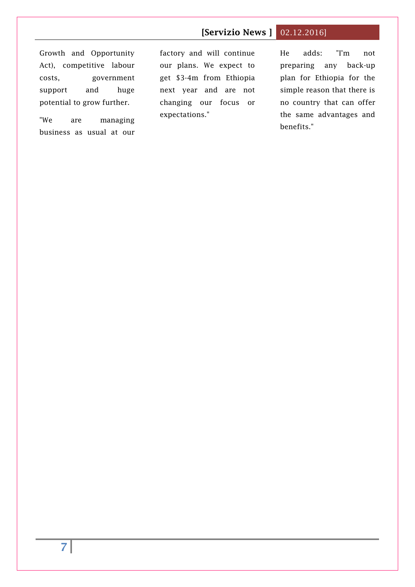## **[Servizio News ]** 02.12.2016]

Growth and Opportunity Act), competitive labour costs, government support and huge potential to grow further.

"We are managing business as usual at our

factory and will continue our plans. We expect to get \$3-4m from Ethiopia next year and are not changing our focus or expectations."

He adds: "I'm not preparing any back-up plan for Ethiopia for the simple reason that there is no country that can offer the same advantages and benefits."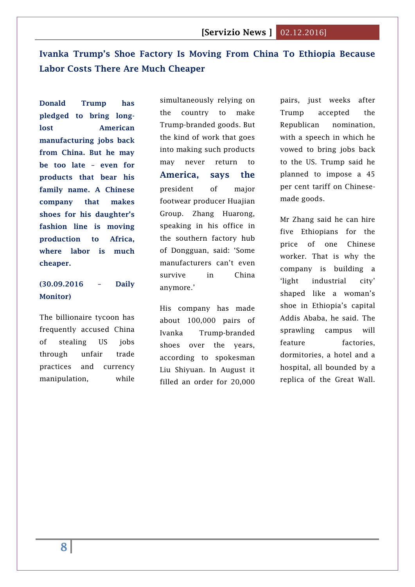## <span id="page-7-0"></span>**Ivanka Trump's Shoe Factory Is Moving From China To Ethiopia Because Labor Costs There Are Much Cheaper**

**Donald Trump has pledged to bring longlost American manufacturing jobs back from China. But he may be too late – even for products that bear his family name. A Chinese company that makes shoes for his daughter's fashion line is moving production to Africa, where labor is much cheaper.**

## **(30.09.2016 – Daily Monitor)**

The billionaire tycoon has frequently accused China of stealing US jobs through unfair trade practices and currency manipulation, while

simultaneously relying on the country to make Trump-branded goods. But the kind of work that goes into making such products may never return to **America, says the** president of major footwear producer Huajian Group. Zhang Huarong, speaking in his office in the southern factory hub of Dongguan, said: 'Some manufacturers can't even survive in China anymore.'

His company has made about 100,000 pairs of Ivanka Trump-branded shoes over the years, according to spokesman Liu Shiyuan. In August it filled an order for 20,000 pairs, just weeks after Trump accepted the Republican nomination, with a speech in which he vowed to bring jobs back to the US. Trump said he planned to impose a 45 per cent tariff on Chinesemade goods.

Mr Zhang said he can hire five Ethiopians for the price of one Chinese worker. That is why the company is building a 'light industrial city' shaped like a woman's shoe in Ethiopia's capital Addis Ababa, he said. The sprawling campus will feature factories, dormitories, a hotel and a hospital, all bounded by a replica of the Great Wall.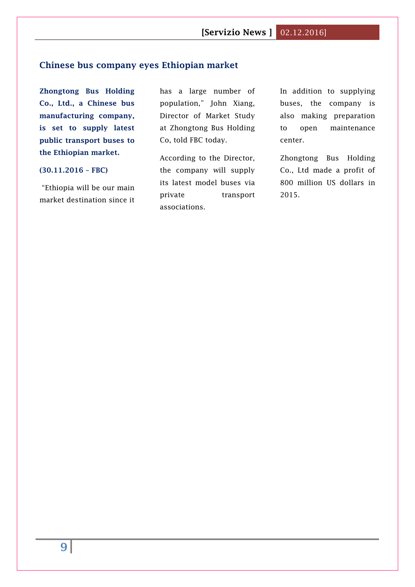## <span id="page-8-0"></span>**Chinese bus company eyes Ethiopian market**

**Zhongtong Bus Holding Co., Ltd., a Chinese bus manufacturing company, is set to supply latest public transport buses to the Ethiopian market.**

#### **(30.11.2016 – FBC)**

"Ethiopia will be our main market destination since it has a large number of population," John Xiang, Director of Market Study at Zhongtong Bus Holding Co, told FBC today.

According to the Director, the company will supply its latest model buses via private transport associations.

In addition to supplying buses, the company is also making preparation to open maintenance center.

Zhongtong Bus Holding Co., Ltd made a profit of 800 million US dollars in 2015.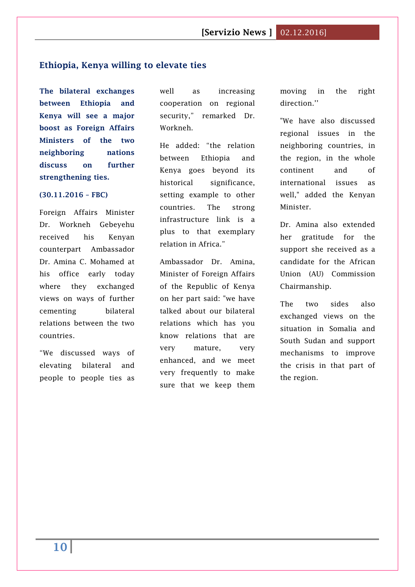#### <span id="page-9-0"></span>**Ethiopia, Kenya willing to elevate ties**

**The bilateral exchanges between Ethiopia and Kenya will see a major boost as Foreign Affairs Ministers of the two neighboring nations discuss on further strengthening ties.**

#### **(30.11.2016 – FBC)**

Foreign Affairs Minister Dr. Workneh Gebeyehu received his Kenyan counterpart Ambassador Dr. Amina C. Mohamed at his office early today where they exchanged views on ways of further cementing bilateral relations between the two countries.

"We discussed ways of elevating bilateral and people to people ties as

well as increasing cooperation on regional security," remarked Dr. Workneh.

He added: "the relation between Ethiopia and Kenya goes beyond its historical significance, setting example to other countries. The strong infrastructure link is a plus to that exemplary relation in Africa."

Ambassador Dr. Amina, Minister of Foreign Affairs of the Republic of Kenya on her part said: "we have talked about our bilateral relations which has you know relations that are very mature, very enhanced, and we meet very frequently to make sure that we keep them moving in the right direction.''

"We have also discussed regional issues in the neighboring countries, in the region, in the whole continent and of international issues as well," added the Kenyan Minister.

Dr. Amina also extended her gratitude for the support she received as a candidate for the African Union (AU) Commission Chairmanship.

The two sides also exchanged views on the situation in Somalia and South Sudan and support mechanisms to improve the crisis in that part of the region.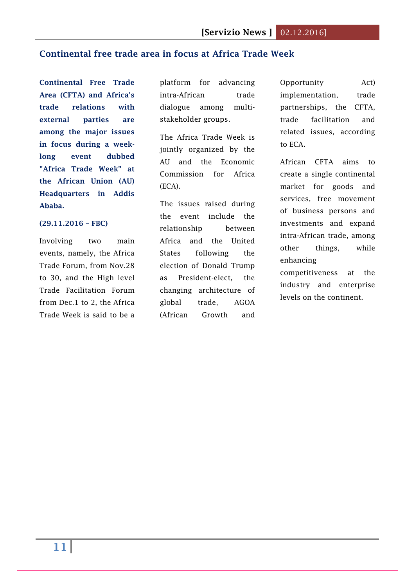## <span id="page-10-0"></span>**Continental free trade area in focus at Africa Trade Week**

**Continental Free Trade Area (CFTA) and Africa's trade relations with external parties are among the major issues in focus during a weeklong event dubbed "Africa Trade Week" at the African Union (AU) Headquarters in Addis Ababa.**

#### **(29.11.2016 – FBC)**

Involving two main events, namely, the Africa Trade Forum, from Nov.28 to 30, and the High level Trade Facilitation Forum from Dec.1 to 2, the Africa Trade Week is said to be a

platform for advancing intra-African trade dialogue among multistakeholder groups.

The Africa Trade Week is jointly organized by the AU and the Economic Commission for Africa (ECA).

The issues raised during the event include the relationship between Africa and the United States following the election of Donald Trump as President-elect, the changing architecture of global trade, AGOA (African Growth and

Opportunity Act) implementation, trade partnerships, the CFTA, trade facilitation and related issues, according to ECA.

African CFTA aims to create a single continental market for goods and services, free movement of business persons and investments and expand intra-African trade, among other things, while enhancing

competitiveness at the industry and enterprise levels on the continent.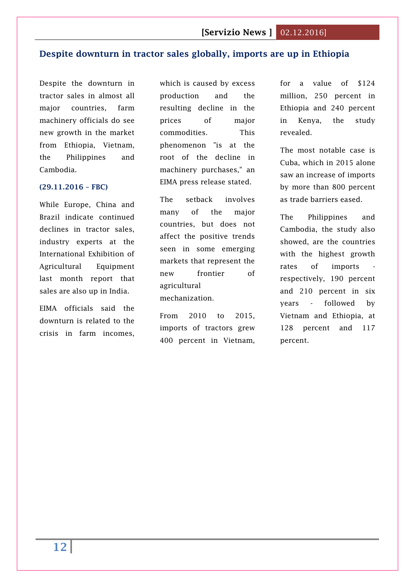## <span id="page-11-0"></span>**Despite downturn in tractor sales globally, imports are up in Ethiopia**

Despite the downturn in tractor sales in almost all major countries, farm machinery officials do see new growth in the market from Ethiopia, Vietnam, the Philippines and Cambodia.

#### **(29.11.2016 – FBC)**

While Europe, China and Brazil indicate continued declines in tractor sales, industry experts at the International Exhibition of Agricultural Equipment last month report that sales are also up in India.

EIMA officials said the downturn is related to the crisis in farm incomes,

which is caused by excess production and the resulting decline in the prices of major commodities. This phenomenon "is at the root of the decline in machinery purchases," an EIMA press release stated.

The setback involves many of the major countries, but does not affect the positive trends seen in some emerging markets that represent the new frontier of agricultural mechanization.

From 2010 to 2015, imports of tractors grew 400 percent in Vietnam,

for a value of \$124 million, 250 percent in Ethiopia and 240 percent in Kenya, the study revealed.

The most notable case is Cuba, which in 2015 alone saw an increase of imports by more than 800 percent as trade barriers eased.

The Philippines and Cambodia, the study also showed, are the countries with the highest growth rates of imports respectively, 190 percent and 210 percent in six years - followed by Vietnam and Ethiopia, at 128 percent and 117 percent.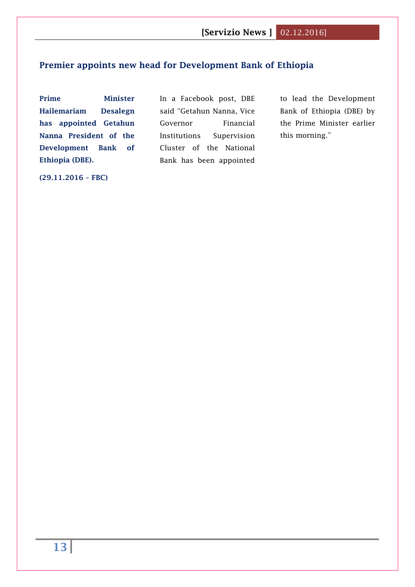## <span id="page-12-0"></span>**Premier appoints new head for Development Bank of Ethiopia**

**Prime Minister Hailemariam Desalegn has appointed Getahun Nanna President of the Development Bank of Ethiopia (DBE).**

In a Facebook post, DBE said "Getahun Nanna, Vice Governor Financial Institutions Supervision Cluster of the National Bank has been appointed

to lead the Development Bank of Ethiopia (DBE) by the Prime Minister earlier this morning."

**(29.11.2016 – FBC)**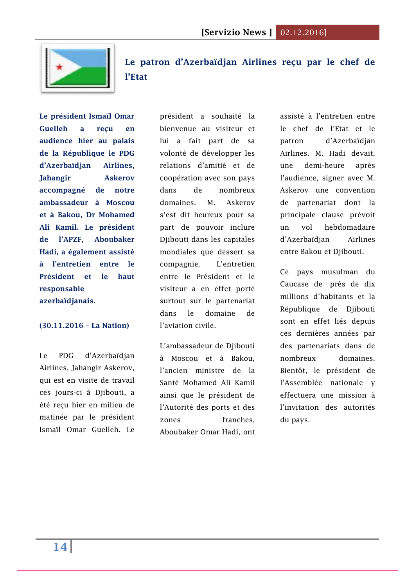

<span id="page-13-0"></span>**[Le patron d'Azerbaïdjan Airlines reçu par le chef de](http://www.lanationdj.com/patron-dazerbaidjan-airlines-recu-chef-de-letat/)  [l'Etat](http://www.lanationdj.com/patron-dazerbaidjan-airlines-recu-chef-de-letat/)**

**Le président Ismaïl Omar Guelleh a reçu en audience hier au palais de la République le PDG d'Azerbaïdjan Airlines, Jahangir Askerov accompagné de notre ambassadeur à Moscou et à Bakou, Dr Mohamed Ali Kamil. Le président de l'APZF, Aboubaker Hadi, a également assisté à l'entretien entre le Président et le haut responsable azerbaïdjanais.**

#### **(30.11.2016 – La Nation)**

Le PDG d'Azerbaïdjan Airlines, Jahangir Askerov, qui est en visite de travail ces jours-ci à Djibouti, a été reçu hier en milieu de matinée par le président Ismaïl Omar Guelleh. Le

président a souhaité la bienvenue au visiteur et lui a fait part de sa volonté de développer les relations d'amitié et de coopération avec son pays dans de nombreux domaines. M. Askerov s'est dit heureux pour sa part de pouvoir inclure Djibouti dans les capitales mondiales que dessert sa compagnie. L'entretien entre le Président et le visiteur a en effet porté surtout sur le partenariat dans le domaine de l'aviation civile.

L'ambassadeur de Djibouti à Moscou et à Bakou, l'ancien ministre de la Santé Mohamed Ali Kamil ainsi que le président de l'Autorité des ports et des zones franches. Aboubaker Omar Hadi, ont

assisté à l'entretien entre le chef de l'Etat et le patron d'Azerbaïdjan Airlines. M. Hadi devait, une demi-heure après l'audience, signer avec M. Askerov une convention de partenariat dont la principale clause prévoit un vol hebdomadaire d'Azerbaïdjan Airlines entre Bakou et Djibouti.

Ce pays musulman du Caucase de près de dix millions d'habitants et la République de Djibouti sont en effet liés depuis ces dernières années par des partenariats dans de nombreux domaines. Bientôt, le président de l'Assemblée nationale y effectuera une mission à l'invitation des autorités du pays.